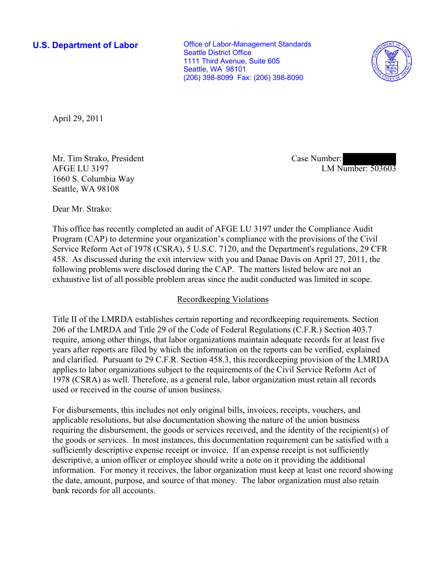**U.S. Department of Labor Conservative Conservative Conservative Conservative Conservative Conservative Conservative Conservative Conservative Conservative Conservative Conservative Conservative Conservative Conservative** Seattle District Office 1111 Third Avenue, Suite 605 Seattle, WA 98101 (206) 398-8099 Fax: (206) 398-8090



April 29, 2011

Mr. Tim Strako, President AFGE LU 3197 1660 S. Columbia Way Seattle, WA 98108

Case Number: LM Number: 503603

Dear Mr. Strako:

This office has recently completed an audit of AFGE LU 3197 under the Compliance Audit Program (CAP) to determine your organization's compliance with the provisions of the Civil Service Reform Act of 1978 (CSRA), 5 U.S.C. 7120, and the Department's regulations, 29 CFR 458. As discussed during the exit interview with you and Danae Davis on April 27, 2011, the following problems were disclosed during the CAP. The matters listed below are not an exhaustive list of all possible problem areas since the audit conducted was limited in scope.

## Recordkeeping Violations

Title II of the LMRDA establishes certain reporting and recordkeeping requirements. Section 206 of the LMRDA and Title 29 of the Code of Federal Regulations (C.F.R.) Section 403.7 require, among other things, that labor organizations maintain adequate records for at least five years after reports are filed by which the information on the reports can be verified, explained and clarified. Pursuant to 29 C.F.R. Section 458.3, this recordkeeping provision of the LMRDA applies to labor organizations subject to the requirements of the Civil Service Reform Act of 1978 (CSRA) as well. Therefore, as a general rule, labor organization must retain all records used or received in the course of union business.

For disbursements, this includes not only original bills, invoices, receipts, vouchers, and applicable resolutions, but also documentation showing the nature of the union business requiring the disbursement, the goods or services received, and the identity of the recipient(s) of the goods or services. In most instances, this documentation requirement can be satisfied with a sufficiently descriptive expense receipt or invoice. If an expense receipt is not sufficiently descriptive, a union officer or employee should write a note on it providing the additional information. For money it receives, the labor organization must keep at least one record showing the date, amount, purpose, and source of that money. The labor organization must also retain bank records for all accounts.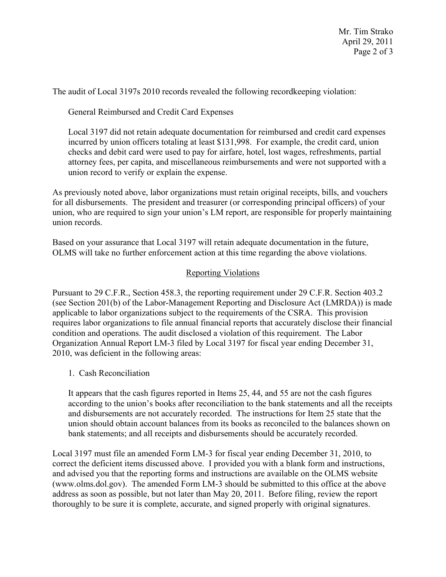The audit of Local 3197s 2010 records revealed the following recordkeeping violation:

General Reimbursed and Credit Card Expenses

Local 3197 did not retain adequate documentation for reimbursed and credit card expenses incurred by union officers totaling at least \$131,998. For example, the credit card, union checks and debit card were used to pay for airfare, hotel, lost wages, refreshments, partial attorney fees, per capita, and miscellaneous reimbursements and were not supported with a union record to verify or explain the expense.

As previously noted above, labor organizations must retain original receipts, bills, and vouchers for all disbursements. The president and treasurer (or corresponding principal officers) of your union, who are required to sign your union's LM report, are responsible for properly maintaining union records.

Based on your assurance that Local 3197 will retain adequate documentation in the future, OLMS will take no further enforcement action at this time regarding the above violations.

## Reporting Violations

Pursuant to 29 C.F.R., Section 458.3, the reporting requirement under 29 C.F.R. Section 403.2 (see Section 201(b) of the Labor-Management Reporting and Disclosure Act (LMRDA)) is made applicable to labor organizations subject to the requirements of the CSRA. This provision requires labor organizations to file annual financial reports that accurately disclose their financial condition and operations. The audit disclosed a violation of this requirement. The Labor Organization Annual Report LM-3 filed by Local 3197 for fiscal year ending December 31, 2010, was deficient in the following areas:

1. Cash Reconciliation

It appears that the cash figures reported in Items 25, 44, and 55 are not the cash figures according to the union's books after reconciliation to the bank statements and all the receipts and disbursements are not accurately recorded. The instructions for Item 25 state that the union should obtain account balances from its books as reconciled to the balances shown on bank statements; and all receipts and disbursements should be accurately recorded.

Local 3197 must file an amended Form LM-3 for fiscal year ending December 31, 2010, to correct the deficient items discussed above. I provided you with a blank form and instructions, and advised you that the reporting forms and instructions are available on the OLMS website (www.olms.dol.gov). The amended Form LM-3 should be submitted to this office at the above address as soon as possible, but not later than May 20, 2011. Before filing, review the report thoroughly to be sure it is complete, accurate, and signed properly with original signatures.